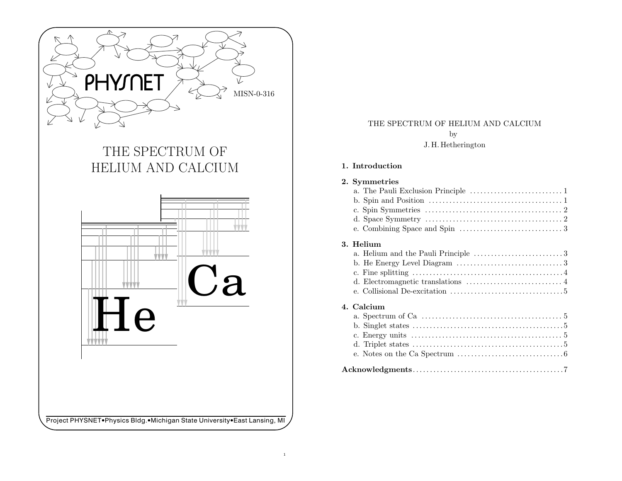

# THE SPECTRUM OF HELIUM AND CALCIUM



# THE SPECTRUM OF HELIUM AND CALCIUM by J. H. Hetherington

## 1. Introduction

## 2. Symmetries

| d. Space Symmetry $\dots \dots \dots \dots \dots \dots \dots \dots \dots \dots \dots \dots \dots 2$ |
|-----------------------------------------------------------------------------------------------------|
|                                                                                                     |

# 3. Helium

| b. He Energy Level Diagram $\dots\dots\dots\dots\dots\dots\dots\dots\dots3$     |
|---------------------------------------------------------------------------------|
|                                                                                 |
| d. Electromagnetic translations $\dots\dots\dots\dots\dots\dots\dots\dots\dots$ |
|                                                                                 |

## 4. Calcium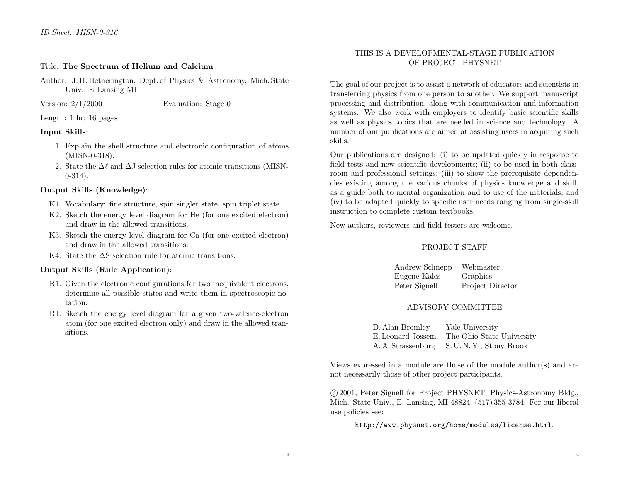#### Title: The Spectrum of Helium and Calcium

Author: J. H. Hetherington, Dept. of Physics & Astronomy, Mich. State Univ., E. Lansing MI

Version:  $2/1/2000$ Evaluation: Stage 0

#### Length: 1 hr; 16 pages

#### Input Skills:

- 1. Explain the shell structure and electronic configuration of atoms (MISN-0-318).
- 2. State the  $\Delta\ell$  and  $\Delta J$  selection rules for atomic transitions (MISN-0-314).

#### Output Skills (Knowledge):

- K1. Vocabulary: fine structure, spin singlet state, spin triplet state.
- K2. Sketch the energy level diagram for He (for one excited electron) and draw in the allowed transitions.
- K3. Sketch the energy level diagram for Ca (for one excited electron) and draw in the allowed transitions.
- K4. State the ∆S selection rule for atomic transitions.

## Output Skills (Rule Application):

- R1. Given the electronic configurations for two inequivalent electrons, determine all possible states and write them in spectroscopic notation.
- R1. Sketch the energy level diagram for <sup>a</sup> given two-valence-electron atom (for one excited electron only) and draw in the allowed transitions.

## THIS IS A DEVELOPMENTAL-STAGE PUBLICATION OF PROJECT PHYSNET

The goal of our project is to assist <sup>a</sup> network of educators and scientists in transferring <sup>p</sup>hysics from one person to another. We support manuscript processing and distribution, along with communication and information systems. We also work with employers to identify basic scientific skills as well as <sup>p</sup>hysics topics that are needed in science and technology. A number of our publications are aimed at assisting users in acquiring such skills.

Our publications are designed: (i) to be updated quickly in response to field tests and new scientific developments; (ii) to be used in both classroom and professional settings; (iii) to show the prerequisite dependencies existing among the various chunks of <sup>p</sup>hysics knowledge and skill, as a guide both to mental organization and to use of the materials; and (iv) to be adapted quickly to specific user needs ranging from single-skill instruction to complete custom textbooks.

New authors, reviewers and field testers are welcome.

## PROJECT STAFF

Andrew Schnepp Webmaster Eugene Kales Graphics Peter Signell Project Director

## ADVISORY COMMITTEE

| D. Alan Bromley   | Yale University                             |
|-------------------|---------------------------------------------|
| E. Leonard Jossem | The Ohio State University                   |
|                   | A. A. Strassenburg S. U. N. Y., Stony Brook |

Views expressed in <sup>a</sup> module are those of the module author(s) and are not necessarily those of other project participants.

°<sup>c</sup> 2001, Peter Signell for Project PHYSNET, Physics-Astronomy Bldg., Mich. State Univ., E. Lansing, MI 48824; (517) 355-3784. For our liberal use policies see:

http://www.physnet.org/home/modules/license.html.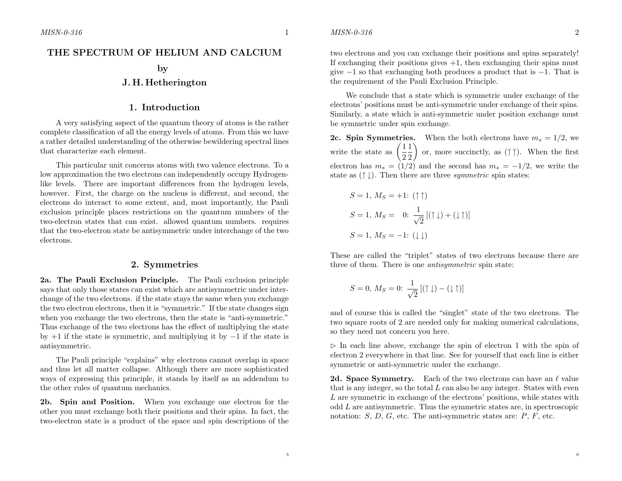## THE SPECTRUM OF HELIUM AND CALCIUM

#### by

## J. H. Hetherington

#### 1. Introduction

A very satisfying aspect of the quantum theory of atoms is the rather complete classification of all the energy levels of atoms. From this we have a rather detailed understanding of the otherwise bewildering spectral lines that characterize each element.

This particular unit concerns atoms with two valence electrons. To <sup>a</sup> low approximation the two electrons can independently occupy Hydrogenlike levels. There are important differences from the hydrogen levels, however. First, the charge on the nucleus is different, and second, the electrons do interact to some extent, and, most importantly, the Pauli exclusion principle places restrictions on the quantum numbers of the two-electron states that can exist. allowed quantum numbers. requires that the two-electron state be antisymmetric under interchange of the two electrons.

#### 2. Symmetries

2a. The Pauli Exclusion Principle. The Pauli exclusion principle says that only those states can exist which are antisymmetric under interchange of the two electrons. if the state stays the same when you exchange the two electron electrons, then it is "symmetric." If the state changes sign when you exchange the two electrons, then the state is "anti-symmetric." Thus exchange of the two electrons has the effect of multiplying the state by  $+1$  if the state is symmetric, and multiplying it by  $-1$  if the state is antisymmetric.

The Pauli principle "explains" why electrons cannot overlap in space and thus let all matter collapse. Although there are more sophisticated ways of expressing this principle, it stands by itself as an addendum to the other rules of quantum mechanics.

2b. Spin and Position. When you exchange one electron for the other you must exchange both their positions and their spins. In fact, the two-electron state is <sup>a</sup> product of the space and spin descriptions of the

two electrons and you can exchange their positions and spins separately! If exchanging their positions gives +1, then exchanging their spins must give  $-1$  so that exchanging both produces a product that is  $-1$ . That is the requirement of the Pauli Exclusion Principle.

We conclude that <sup>a</sup> state which is symmetric under exchange of the electrons' positions must be anti-symmetric under exchange of their spins. Similarly, <sup>a</sup> state which is anti-symmetric under position exchange must be symmetric under spin exchange.

**2c. Spin Symmetries.** When the both electrons have  $m_s = 1/2$ , we write the state as  $\left(\frac{1}{2}\frac{1}{2}\right)$  or, more succinctly, as  $(\uparrow \uparrow)$ . When the first electron has  $m_s = (1/2)$  and the second has  $m_s = -1/2$ , we write the state as  $(† \downarrow)$ . Then there are three *symmetric* spin states:

$$
S = 1, M_S = +1: (\uparrow \uparrow)
$$
  
\n
$$
S = 1, M_S = 0: \frac{1}{\sqrt{2}} [(\uparrow \downarrow) + (\downarrow \uparrow)]
$$
  
\n
$$
S = 1, M_S = -1: (\downarrow \downarrow)
$$

These are called the "triplet" states of two electrons because there are three of them. There is one *antisymmetric* spin state:

$$
S = 0, M_S = 0: \frac{1}{\sqrt{2}} [(\uparrow \downarrow) - (\downarrow \uparrow)]
$$

and of course this is called the "singlet" state of the two electrons. The two square roots of 2 are needed only for making numerical calculations, so they need not concern you here.

 $\triangleright$  In each line above, exchange the spin of electron 1 with the spin of electron 2 everywhere in that line. See for yourself that each line is either symmetric or anti-symmetric under the exchange.

2d. Space Symmetry. Each of the two electrons can have an  $\ell$  value that is any integer, so the total  $L$  can also be any integer. States with even L are symmetric in exchange of the electrons' positions, while states with odd L are antisymmetric. Thus the symmetric states are, in spectroscopic notation:  $S, D, G$ , etc. The anti-symmetric states are:  $P, F$ , etc.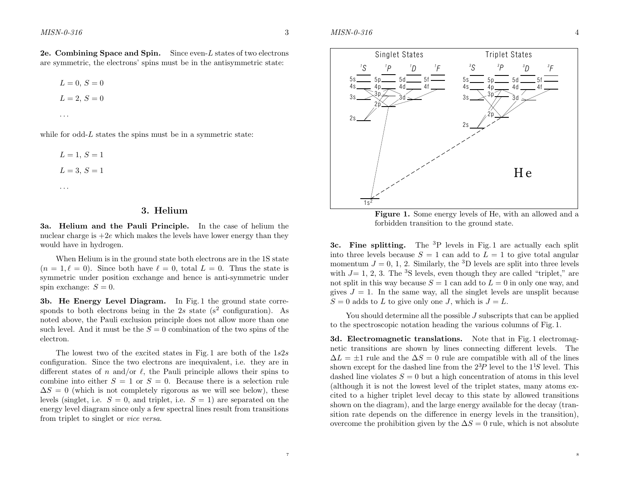$\delta$  4



Figure 1. Some energy levels of He, with an allowed and <sup>a</sup> forbidden transition to the ground state.

3c. Fine splitting. The <sup>3</sup>P levels in Fig. 1 are actually each split into three levels because  $S = 1$  can add to  $L = 1$  to give total angular momentum  $J = 0, 1, 2$ . Similarly, the <sup>3</sup>D levels are split into three levels with  $J= 1, 2, 3$ . The <sup>3</sup>S levels, even though they are called "triplet," are not split in this way because  $S = 1$  can add to  $L = 0$  in only one way, and gives  $J = 1$ . In the same way, all the singlet levels are unsplit because  $S = 0$  adds to L to give only one J, which is  $J = L$ .

You should determine all the possible J subscripts that can be applied to the spectroscopic notation heading the various columns of Fig. 1.

3d. Electromagnetic translations. Note that in Fig. 1 electromagnetic transitions are shown by lines connecting different levels. The  $\Delta L = \pm 1$  rule and the  $\Delta S = 0$  rule are compatible with all of the lines shown except for the dashed line from the  $2^{3}P$  level to the  $1^{1}S$  level. This dashed line violates  $S = 0$  but a high concentration of atoms in this level (although it is not the lowest level of the triplet states, many atoms excited to <sup>a</sup> higher triplet level decay to this state by allowed transitions shown on the diagram), and the large energy available for the decay (transition rate depends on the difference in energy levels in the transition), overcome the prohibition given by the  $\Delta S = 0$  rule, which is not absolute

**2e. Combining Space and Spin.** Since even-L states of two electrons are symmetric, the electrons' spins must be in the antisymmetric state:

 $L = 0, S = 0$  $L = 2, S = 0$ . . .

while for odd- $L$  states the spins must be in a symmetric state:

$$
L = 1, S = 1
$$
  

$$
L = 3, S = 1
$$

. .

#### 3. Helium

3a. Helium and the Pauli Principle. In the case of helium the nuclear charge is  $+2e$  which makes the levels have lower energy than they would have in hydrogen.

When Helium is in the ground state both electrons are in the 1S state  $(n = 1, \ell = 0)$ . Since both have  $\ell = 0$ , total  $L = 0$ . Thus the state is symmetric under position exchange and hence is anti-symmetric under spin exchange:  $S = 0$ .

3b. He Energy Level Diagram. In Fig. 1 the ground state corresponds to both electrons being in the 2s state  $(s^2$  configuration). As noted above, the Pauli exclusion principle does not allow more than one such level. And it must be the  $S = 0$  combination of the two spins of the electron.

The lowest two of the excited states in Fig. 1 are both of the  $1s2s$ configuration. Since the two electrons are inequivalent, i.e. they are in different states of n and/or  $\ell$ , the Pauli principle allows their spins to combine into either  $S = 1$  or  $S = 0$ . Because there is a selection rule  $\Delta S = 0$  (which is not completely rigorous as we will see below), these levels (singlet, i.e.  $S = 0$ , and triplet, i.e.  $S = 1$ ) are separated on the energy level diagram since only <sup>a</sup> few spectral lines result from transitions from triplet to singlet or *vice versa*.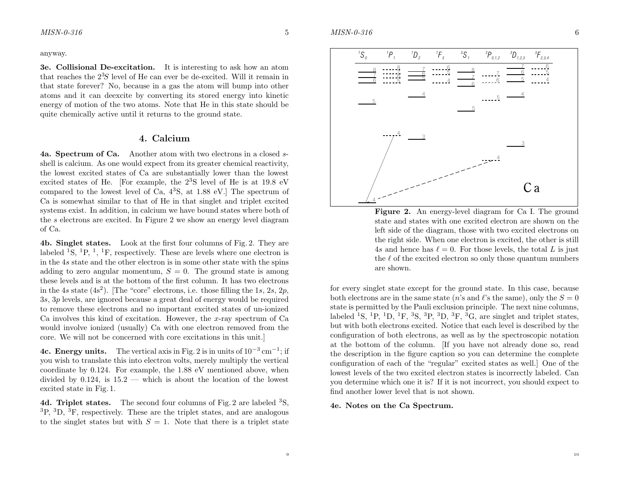anyway.

3e. Collisional De-excitation. It is interesting to ask how an atom that reaches the  $2<sup>3</sup>S$  level of He can ever be de-excited. Will it remain in that state forever? No, because in <sup>a</sup> gas the atom will bump into other atoms and it can deexcite by converting its stored energy into kinetic energy of motion of the two atoms. Note that He in this state should be quite chemically active until it returns to the ground state.

#### 4. Calcium

4a. Spectrum of Ca. Another atom with two electrons in a closed sshell is calcium. As one would expect from its greater chemical reactivity, the lowest excited states of Ca are substantially lower than the lowest excited states of He. [For example, the  $2<sup>3</sup>S$  level of He is at 19.8 eV compared to the lowest level of Ca, <sup>4</sup><sup>3</sup>S, at 1.88 eV.] The spectrum of Ca is somewhat similar to that of He in that singlet and triplet excited systems exist. In addition, in calcium we have bound states where both of the s electrons are excited. In Figure 2 we show an energy level diagram of Ca.

4b. Singlet states. Look at the first four columns of Fig. 2. They are labeled <sup>1</sup>S, <sup>1</sup>P, <sup>1</sup>, <sup>1</sup>F, respectively. These are levels where one electron is in the 4<sup>s</sup> state and the other electron is in some other state with the spins adding to zero angular momentum,  $S = 0$ . The ground state is among these levels and is at the bottom of the first column. It has two electrons in the 4s state (4s<sup>2</sup>). [The "core" electrons, i.e. those filling the 1s, 2s, 2p, 3<sup>s</sup>, 3<sup>p</sup> levels, are ignored because <sup>a</sup> great deal of energy would be required to remove these electrons and no important excited states of un-ionized Ca involves this kind of excitation. However, the x-ray spectrum of Ca would involve ionized (usually) Ca with one electron removed from the core. We will not be concerned with core excitations in this unit.]

**4c. Energy units.** The vertical axis in Fig. 2 is in units of  $10^{-3}$  cm<sup>-1</sup>; if you wish to translate this into electron volts, merely multiply the vertical coordinate by 0.124. For example, the 1.88 eV mentioned above, when divided by 0.124, is  $15.2$  — which is about the location of the lowest excited state in Fig. 1.

**4d. Triplet states.** The second four columns of Fig. 2 are labeled  ${}^{3}S$ ,  ${}^{3}P, {}^{3}D, {}^{3}F$ , respectively. These are the triplet states, and are analogous to the singlet states but with  $S = 1$ . Note that there is a triplet state



Figure 2. An energy-level diagram for Ca I. The ground state and states with one excited electron are shown on the left side of the diagram, those with two excited electrons on the right side. When one electron is excited, the other is still 4s and hence has  $\ell = 0$ . For those levels, the total L is just the  $\ell$  of the excited electron so only those quantum numbers are shown.

for every singlet state except for the ground state. In this case, because both electrons are in the same state (*n*'s and  $\ell$ 's the same), only the  $S = 0$ state is permitted by the Pauli exclusion principle. The next nine columns, labeled <sup>1</sup>S, <sup>1</sup>P, <sup>1</sup>D, <sup>1</sup>F, <sup>3</sup>S, <sup>3</sup>P, <sup>3</sup>D, <sup>3</sup>F, <sup>3</sup>G, are singlet and triplet states, but with both electrons excited. Notice that each level is described by the configuration of both electrons, as well as by the spectroscopic notation at the bottom of the column. [If you have not already done so, read the description in the figure caption so you can determine the complete configuration of each of the "regular" excited states as well.] One of the lowest levels of the two excited electron states is incorrectly labeled. Can you determine which one it is? If it is not incorrect, you should expect to find another lower level that is not shown.

#### 4e. Notes on the Ca Spectrum.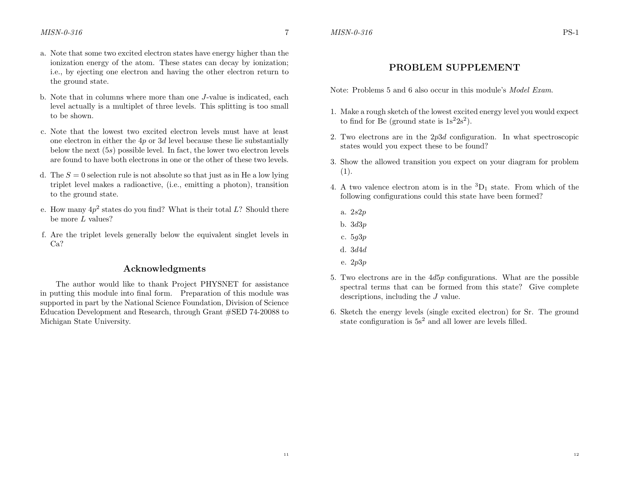# PROBLEM SUPPLEMENT

Note: Problems 5 and 6 also occur in this module's *Model Exam*.

- 1. Make a rough sketch of the lowest excited energy level you would expect to find for Be (ground state is  $1s^22s^2$ ).
- 2. Two electrons are in the  $2p3d$  configuration. In what spectroscopic states would you expect these to be found?
- 3. Show the allowed transition you expect on your diagram for problem (1).
- 4. A two valence electron atom is in the  ${}^{3}D_1$  state. From which of the following configurations could this state have been formed?
	- a. 2s2p
	- b. 3d3p
	- c. 5g3p
	- d. 3d4d
	- e. 2p3p
- 5. Two electrons are in the 4d5<sup>p</sup> configurations. What are the possible spectral terms that can be formed from this state? Give complete descriptions, including the J value.
- 6. Sketch the energy levels (single excited electron) for Sr. The ground state configuration is  $5s^2$  and all lower are levels filled.
- a. Note that some two excited electron states have energy higher than the ionization energy of the atom. These states can decay by ionization; i.e., by ejecting one electron and having the other electron return to the ground state.
- b. Note that in columns where more than one J-value is indicated, each level actually is <sup>a</sup> multiplet of three levels. This splitting is too small to be shown.
- c. Note that the lowest two excited electron levels must have at least one electron in either the  $4p$  or  $3d$  level because these lie substantially below the next (5s) possible level. In fact, the lower two electron levels are found to have both electrons in one or the other of these two levels.
- d. The  $S = 0$  selection rule is not absolute so that just as in He a low lying triplet level makes <sup>a</sup> radioactive, (i.e., emitting <sup>a</sup> <sup>p</sup>hoton), transition to the ground state.
- e. How many  $4p^2$  states do you find? What is their total L? Should there be more  $L$  values?
- f. Are the triplet levels generally below the equivalent singlet levels in Ca?

## Acknowledgments

The author would like to thank Project PHYSNET for assistance in putting this module into final form. Preparation of this module was supported in part by the National Science Foundation, Division of Science Education Development and Research, through Grant #SED 74-20088 to Michigan State University.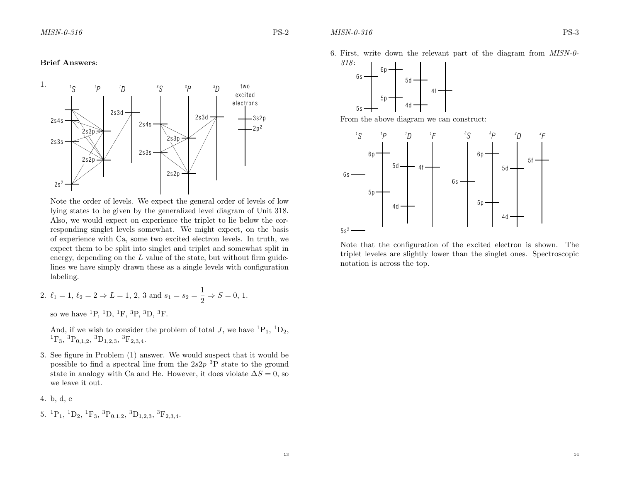#### Brief Answers:



Note the order of levels. We expect the general order of levels of low lying states to be given by the generalized level diagram of Unit 318. Also, we would expect on experience the triplet to lie below the corresponding singlet levels somewhat. We might expect, on the basis of experience with Ca, some two excited electron levels. In truth, we expect them to be split into singlet and triplet and somewhat split in energy, depending on the  $L$  value of the state, but without firm guidelines we have simply drawn these as <sup>a</sup> single levels with configuration labeling.

2. 
$$
\ell_1 = 1
$$
,  $\ell_2 = 2 \Rightarrow L = 1$ , 2, 3 and  $s_1 = s_2 = \frac{1}{2} \Rightarrow S = 0$ , 1.

so we have  ${}^{1}P, {}^{1}D, {}^{1}F, {}^{3}P, {}^{3}D, {}^{3}F.$ 

And, if we wish to consider the problem of total J, we have  ${}^{1}P_{1}$ ,  ${}^{1}D_{2}$ ,  ${}^{1}F_{3}$ ,  ${}^{3}P_{0,1,2}$ ,  ${}^{3}D_{1,2,3}$ ,  ${}^{3}F_{2,3,4}$ .

3. See figure in Problem (1) answer. We would suspect that it would be possible to find a spectral line from the  $2s2p$ <sup>3</sup>P state to the ground state in analogy with Ca and He. However, it does violate  $\Delta S = 0$ , so we leave it out.

4. b, d, <sup>e</sup>

5.  ${}^{1}P_{1}$ ,  ${}^{1}D_{2}$ ,  ${}^{1}F_{3}$ ,  ${}^{3}P_{0,1,2}$ ,  ${}^{3}D_{1,2,3}$ ,  ${}^{3}F_{2,3,4}$ .

6. First, write down the relevant part of the diagram from MISN-0- 318 :



From the above diagram we can construct:



Note that the configuration of the excited electron is shown. The triplet leveles are slightly lower than the singlet ones. Spectroscopic notation is across the top.